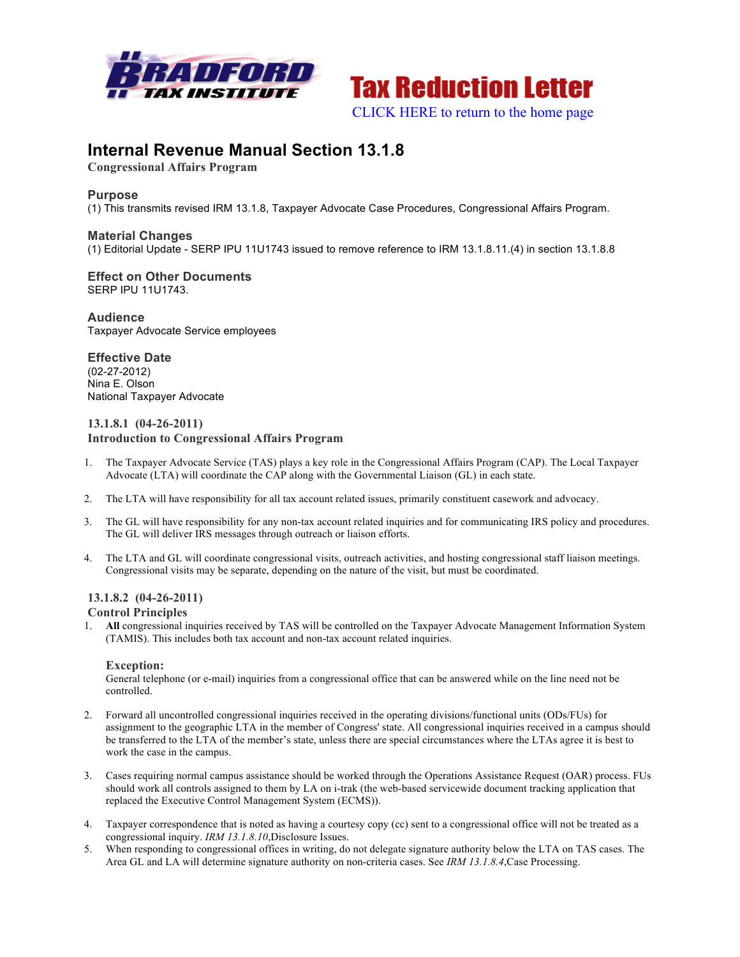



## **Internal Revenue Manual Section 13.1.8**

**Congressional Affairs Program**

## **Purpose**

(1) This transmits revised IRM 13.1.8, Taxpayer Advocate Case Procedures, Congressional Affairs Program.

## **Material Changes**

(1) Editorial Update - SERP IPU 11U1743 issued to remove reference to IRM 13.1.8.11.(4) in section 13.1.8.8

#### **Effect on Other Documents** SERP IPU 11U1743.

**Audience** Taxpayer Advocate Service employees

## **Effective Date** (02-27-2012) Nina E. Olson National Taxpayer Advocate

## **13.1.8.1 (04-26-2011) Introduction to Congressional Affairs Program**

- 1. The Taxpayer Advocate Service (TAS) plays a key role in the Congressional Affairs Program (CAP). The Local Taxpayer Advocate (LTA) will coordinate the CAP along with the Governmental Liaison (GL) in each state.
- 2. The LTA will have responsibility for all tax account related issues, primarily constituent casework and advocacy.
- 3. The GL will have responsibility for any non-tax account related inquiries and for communicating IRS policy and procedures. The GL will deliver IRS messages through outreach or liaison efforts.
- 4. The LTA and GL will coordinate congressional visits, outreach activities, and hosting congressional staff liaison meetings. Congressional visits may be separate, depending on the nature of the visit, but must be coordinated.

# **13.1.8.2 (04-26-2011)**

## **Control Principles**

1. **All** congressional inquiries received by TAS will be controlled on the Taxpayer Advocate Management Information System (TAMIS). This includes both tax account and non-tax account related inquiries.

## **Exception:**

General telephone (or e-mail) inquiries from a congressional office that can be answered while on the line need not be controlled.

- 2. Forward all uncontrolled congressional inquiries received in the operating divisions/functional units (ODs/FUs) for assignment to the geographic LTA in the member of Congress' state. All congressional inquiries received in a campus should be transferred to the LTA of the member's state, unless there are special circumstances where the LTAs agree it is best to work the case in the campus.
- 3. Cases requiring normal campus assistance should be worked through the Operations Assistance Request (OAR) process. FUs should work all controls assigned to them by LA on i-trak (the web-based servicewide document tracking application that replaced the Executive Control Management System (ECMS)).
- 4. Taxpayer correspondence that is noted as having a courtesy copy (cc) sent to a congressional office will not be treated as a congressional inquiry. *IRM 13.1.8.10*,Disclosure Issues.
- 5. When responding to congressional offices in writing, do not delegate signature authority below the LTA on TAS cases. The Area GL and LA will determine signature authority on non-criteria cases. See *IRM 13.1.8.4*,Case Processing.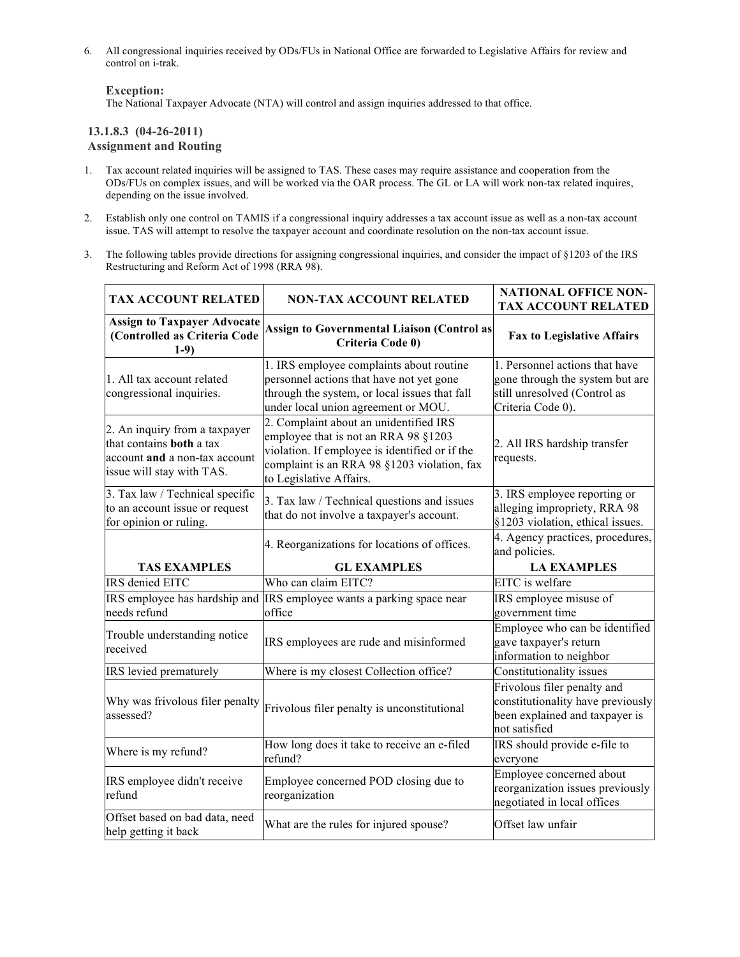6. All congressional inquiries received by ODs/FUs in National Office are forwarded to Legislative Affairs for review and control on i-trak.

## **Exception:**

The National Taxpayer Advocate (NTA) will control and assign inquiries addressed to that office.

## **13.1.8.3 (04-26-2011) Assignment and Routing**

- 1. Tax account related inquiries will be assigned to TAS. These cases may require assistance and cooperation from the ODs/FUs on complex issues, and will be worked via the OAR process. The GL or LA will work non-tax related inquires, depending on the issue involved.
- 2. Establish only one control on TAMIS if a congressional inquiry addresses a tax account issue as well as a non-tax account issue. TAS will attempt to resolve the taxpayer account and coordinate resolution on the non-tax account issue.
- 3. The following tables provide directions for assigning congressional inquiries, and consider the impact of §1203 of the IRS Restructuring and Reform Act of 1998 (RRA 98).

| <b>TAX ACCOUNT RELATED</b>                                                                                                     | <b>NON-TAX ACCOUNT RELATED</b>                                                                                                                                                                             | <b>NATIONAL OFFICE NON-</b><br><b>TAX ACCOUNT RELATED</b>                                                              |
|--------------------------------------------------------------------------------------------------------------------------------|------------------------------------------------------------------------------------------------------------------------------------------------------------------------------------------------------------|------------------------------------------------------------------------------------------------------------------------|
| <b>Assign to Taxpayer Advocate</b><br>(Controlled as Criteria Code<br>$1-9)$                                                   | <b>Assign to Governmental Liaison (Control as</b><br>Criteria Code 0)                                                                                                                                      | <b>Fax to Legislative Affairs</b>                                                                                      |
| 1. All tax account related<br>congressional inquiries.                                                                         | 1. IRS employee complaints about routine<br>personnel actions that have not yet gone<br>through the system, or local issues that fall<br>under local union agreement or MOU.                               | 1. Personnel actions that have<br>gone through the system but are<br>still unresolved (Control as<br>Criteria Code 0). |
| 2. An inquiry from a taxpayer<br>that contains <b>both</b> a tax<br>account and a non-tax account<br>issue will stay with TAS. | 2. Complaint about an unidentified IRS<br>employee that is not an RRA 98 §1203<br>violation. If employee is identified or if the<br>complaint is an RRA 98 §1203 violation, fax<br>to Legislative Affairs. | 2. All IRS hardship transfer<br>requests.                                                                              |
| 3. Tax law / Technical specific<br>to an account issue or request<br>for opinion or ruling.                                    | 3. Tax law / Technical questions and issues<br>that do not involve a taxpayer's account.                                                                                                                   | 3. IRS employee reporting or<br>alleging impropriety, RRA 98<br>§1203 violation, ethical issues.                       |
|                                                                                                                                | 4. Reorganizations for locations of offices.                                                                                                                                                               | 4. Agency practices, procedures,<br>and policies.                                                                      |
| <b>TAS EXAMPLES</b>                                                                                                            | <b>GL EXAMPLES</b>                                                                                                                                                                                         | <b>LA EXAMPLES</b>                                                                                                     |
| <b>IRS</b> denied EITC                                                                                                         | Who can claim EITC?                                                                                                                                                                                        | EITC is welfare                                                                                                        |
| needs refund                                                                                                                   | IRS employee has hardship and IRS employee wants a parking space near<br>office                                                                                                                            | IRS employee misuse of<br>government time                                                                              |
| Trouble understanding notice<br>received                                                                                       | IRS employees are rude and misinformed                                                                                                                                                                     | Employee who can be identified<br>gave taxpayer's return<br>information to neighbor                                    |
| IRS levied prematurely                                                                                                         | Where is my closest Collection office?                                                                                                                                                                     | Constitutionality issues                                                                                               |
| Why was frivolous filer penalty<br>assessed?                                                                                   | Frivolous filer penalty is unconstitutional                                                                                                                                                                | Frivolous filer penalty and<br>constitutionality have previously<br>been explained and taxpayer is<br>not satisfied    |
| Where is my refund?                                                                                                            | How long does it take to receive an e-filed<br>refund?                                                                                                                                                     | IRS should provide e-file to<br>everyone                                                                               |
| IRS employee didn't receive                                                                                                    |                                                                                                                                                                                                            | Employee concerned about                                                                                               |
| refund                                                                                                                         | Employee concerned POD closing due to<br>reorganization                                                                                                                                                    | reorganization issues previously<br>negotiated in local offices                                                        |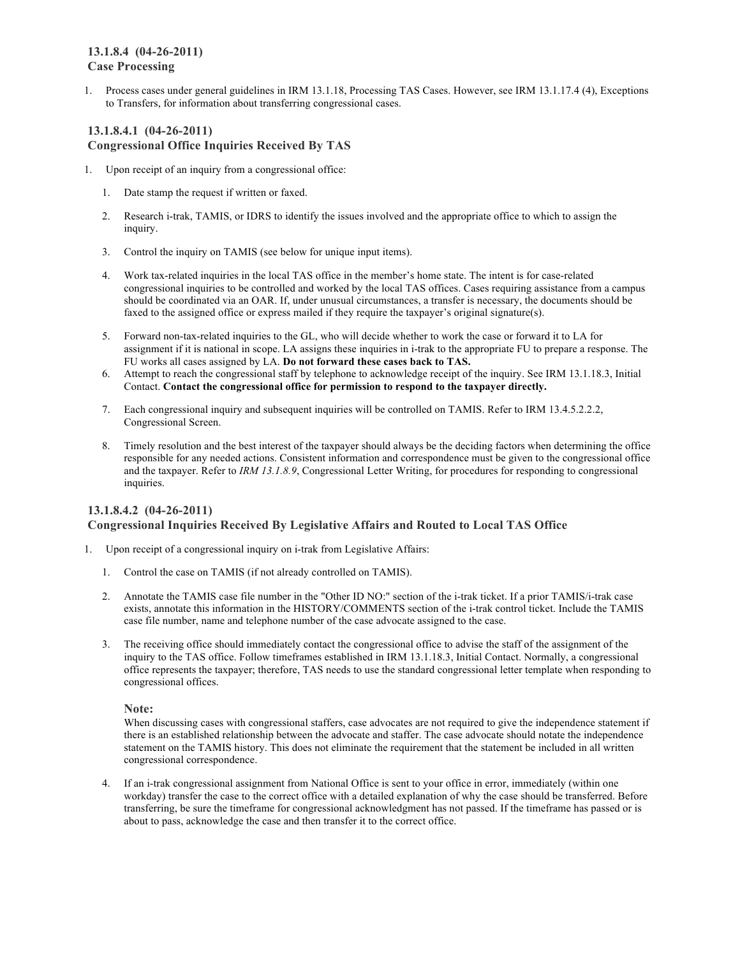## **13.1.8.4 (04-26-2011) Case Processing**

1. Process cases under general guidelines in IRM 13.1.18, Processing TAS Cases. However, see IRM 13.1.17.4 (4), Exceptions to Transfers, for information about transferring congressional cases.

## **13.1.8.4.1 (04-26-2011) Congressional Office Inquiries Received By TAS**

- 1. Upon receipt of an inquiry from a congressional office:
	- 1. Date stamp the request if written or faxed.
	- 2. Research i-trak, TAMIS, or IDRS to identify the issues involved and the appropriate office to which to assign the inquiry.
	- 3. Control the inquiry on TAMIS (see below for unique input items).
	- 4. Work tax-related inquiries in the local TAS office in the member's home state. The intent is for case-related congressional inquiries to be controlled and worked by the local TAS offices. Cases requiring assistance from a campus should be coordinated via an OAR. If, under unusual circumstances, a transfer is necessary, the documents should be faxed to the assigned office or express mailed if they require the taxpayer's original signature(s).
	- 5. Forward non-tax-related inquiries to the GL, who will decide whether to work the case or forward it to LA for assignment if it is national in scope. LA assigns these inquiries in i-trak to the appropriate FU to prepare a response. The FU works all cases assigned by LA. **Do not forward these cases back to TAS.**
	- 6. Attempt to reach the congressional staff by telephone to acknowledge receipt of the inquiry. See IRM 13.1.18.3, Initial Contact. **Contact the congressional office for permission to respond to the taxpayer directly.**
	- 7. Each congressional inquiry and subsequent inquiries will be controlled on TAMIS. Refer to IRM 13.4.5.2.2.2, Congressional Screen.
	- 8. Timely resolution and the best interest of the taxpayer should always be the deciding factors when determining the office responsible for any needed actions. Consistent information and correspondence must be given to the congressional office and the taxpayer. Refer to *IRM 13.1.8.9*, Congressional Letter Writing, for procedures for responding to congressional inquiries.

## **13.1.8.4.2 (04-26-2011) Congressional Inquiries Received By Legislative Affairs and Routed to Local TAS Office**

- 1. Upon receipt of a congressional inquiry on i-trak from Legislative Affairs:
	- 1. Control the case on TAMIS (if not already controlled on TAMIS).
	- 2. Annotate the TAMIS case file number in the "Other ID NO:" section of the i-trak ticket. If a prior TAMIS/i-trak case exists, annotate this information in the HISTORY/COMMENTS section of the i-trak control ticket. Include the TAMIS case file number, name and telephone number of the case advocate assigned to the case.
	- 3. The receiving office should immediately contact the congressional office to advise the staff of the assignment of the inquiry to the TAS office. Follow timeframes established in IRM 13.1.18.3, Initial Contact. Normally, a congressional office represents the taxpayer; therefore, TAS needs to use the standard congressional letter template when responding to congressional offices.

**Note:**

When discussing cases with congressional staffers, case advocates are not required to give the independence statement if there is an established relationship between the advocate and staffer. The case advocate should notate the independence statement on the TAMIS history. This does not eliminate the requirement that the statement be included in all written congressional correspondence.

4. If an i-trak congressional assignment from National Office is sent to your office in error, immediately (within one workday) transfer the case to the correct office with a detailed explanation of why the case should be transferred. Before transferring, be sure the timeframe for congressional acknowledgment has not passed. If the timeframe has passed or is about to pass, acknowledge the case and then transfer it to the correct office.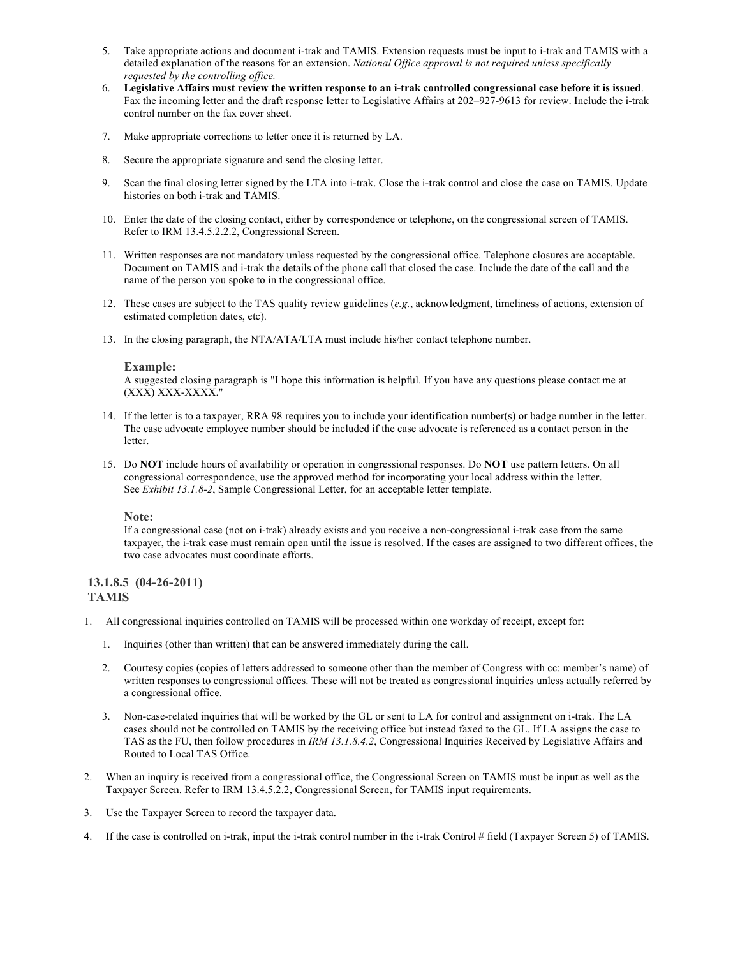- 5. Take appropriate actions and document i-trak and TAMIS. Extension requests must be input to i-trak and TAMIS with a detailed explanation of the reasons for an extension. *National Office approval is not required unless specifically requested by the controlling office.*
- 6. Legislative Affairs must review the written response to an i-trak controlled congressional case before it is issued. Fax the incoming letter and the draft response letter to Legislative Affairs at 202–927-9613 for review. Include the i-trak control number on the fax cover sheet.
- 7. Make appropriate corrections to letter once it is returned by LA.
- 8. Secure the appropriate signature and send the closing letter.
- 9. Scan the final closing letter signed by the LTA into i-trak. Close the i-trak control and close the case on TAMIS. Update histories on both i-trak and TAMIS.
- 10. Enter the date of the closing contact, either by correspondence or telephone, on the congressional screen of TAMIS. Refer to IRM 13.4.5.2.2.2, Congressional Screen.
- 11. Written responses are not mandatory unless requested by the congressional office. Telephone closures are acceptable. Document on TAMIS and i-trak the details of the phone call that closed the case. Include the date of the call and the name of the person you spoke to in the congressional office.
- 12. These cases are subject to the TAS quality review guidelines (*e.g.*, acknowledgment, timeliness of actions, extension of estimated completion dates, etc).
- 13. In the closing paragraph, the NTA/ATA/LTA must include his/her contact telephone number.

#### **Example:**

A suggested closing paragraph is "I hope this information is helpful. If you have any questions please contact me at (XXX) XXX-XXXX."

- 14. If the letter is to a taxpayer, RRA 98 requires you to include your identification number(s) or badge number in the letter. The case advocate employee number should be included if the case advocate is referenced as a contact person in the letter.
- 15. Do **NOT** include hours of availability or operation in congressional responses. Do **NOT** use pattern letters. On all congressional correspondence, use the approved method for incorporating your local address within the letter. See *Exhibit 13.1.8-2*, Sample Congressional Letter, for an acceptable letter template.

#### **Note:**

If a congressional case (not on i-trak) already exists and you receive a non-congressional i-trak case from the same taxpayer, the i-trak case must remain open until the issue is resolved. If the cases are assigned to two different offices, the two case advocates must coordinate efforts.

## **13.1.8.5 (04-26-2011) TAMIS**

- 1. All congressional inquiries controlled on TAMIS will be processed within one workday of receipt, except for:
	- 1. Inquiries (other than written) that can be answered immediately during the call.
	- 2. Courtesy copies (copies of letters addressed to someone other than the member of Congress with cc: member's name) of written responses to congressional offices. These will not be treated as congressional inquiries unless actually referred by a congressional office.
	- 3. Non-case-related inquiries that will be worked by the GL or sent to LA for control and assignment on i-trak. The LA cases should not be controlled on TAMIS by the receiving office but instead faxed to the GL. If LA assigns the case to TAS as the FU, then follow procedures in *IRM 13.1.8.4.2*, Congressional Inquiries Received by Legislative Affairs and Routed to Local TAS Office.
- 2. When an inquiry is received from a congressional office, the Congressional Screen on TAMIS must be input as well as the Taxpayer Screen. Refer to IRM 13.4.5.2.2, Congressional Screen, for TAMIS input requirements.
- 3. Use the Taxpayer Screen to record the taxpayer data.
- 4. If the case is controlled on i-trak, input the i-trak control number in the i-trak Control # field (Taxpayer Screen 5) of TAMIS.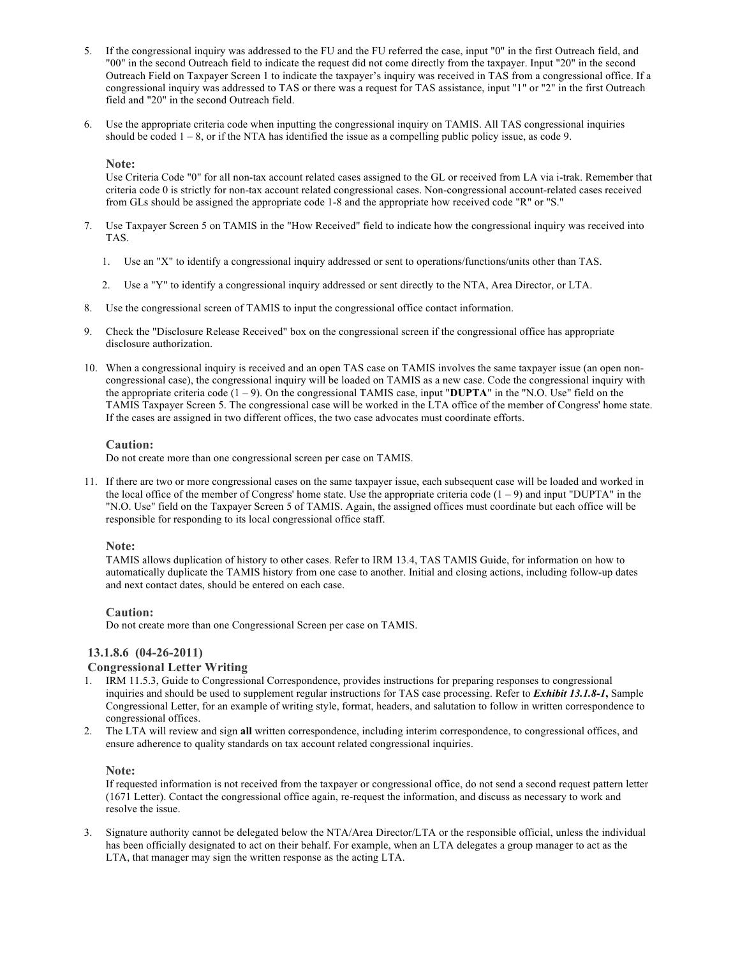- 5. If the congressional inquiry was addressed to the FU and the FU referred the case, input "0" in the first Outreach field, and "00" in the second Outreach field to indicate the request did not come directly from the taxpayer. Input "20" in the second Outreach Field on Taxpayer Screen 1 to indicate the taxpayer's inquiry was received in TAS from a congressional office. If a congressional inquiry was addressed to TAS or there was a request for TAS assistance, input "1" or "2" in the first Outreach field and "20" in the second Outreach field.
- 6. Use the appropriate criteria code when inputting the congressional inquiry on TAMIS. All TAS congressional inquiries should be coded  $1 - 8$ , or if the NTA has identified the issue as a compelling public policy issue, as code 9.

#### **Note:**

Use Criteria Code "0" for all non-tax account related cases assigned to the GL or received from LA via i-trak. Remember that criteria code 0 is strictly for non-tax account related congressional cases. Non-congressional account-related cases received from GLs should be assigned the appropriate code 1-8 and the appropriate how received code "R" or "S."

- 7. Use Taxpayer Screen 5 on TAMIS in the "How Received" field to indicate how the congressional inquiry was received into TAS.
	- 1. Use an "X" to identify a congressional inquiry addressed or sent to operations/functions/units other than TAS.
	- 2. Use a "Y" to identify a congressional inquiry addressed or sent directly to the NTA, Area Director, or LTA.
- 8. Use the congressional screen of TAMIS to input the congressional office contact information.
- 9. Check the "Disclosure Release Received" box on the congressional screen if the congressional office has appropriate disclosure authorization.
- 10. When a congressional inquiry is received and an open TAS case on TAMIS involves the same taxpayer issue (an open noncongressional case), the congressional inquiry will be loaded on TAMIS as a new case. Code the congressional inquiry with the appropriate criteria code  $(1 – 9)$ . On the congressional TAMIS case, input "**DUPTA**" in the "N.O. Use" field on the TAMIS Taxpayer Screen 5. The congressional case will be worked in the LTA office of the member of Congress' home state. If the cases are assigned in two different offices, the two case advocates must coordinate efforts.

## **Caution:**

Do not create more than one congressional screen per case on TAMIS.

11. If there are two or more congressional cases on the same taxpayer issue, each subsequent case will be loaded and worked in the local office of the member of Congress' home state. Use the appropriate criteria code  $(1 - 9)$  and input "DUPTA" in the "N.O. Use" field on the Taxpayer Screen 5 of TAMIS. Again, the assigned offices must coordinate but each office will be responsible for responding to its local congressional office staff.

## **Note:**

TAMIS allows duplication of history to other cases. Refer to IRM 13.4, TAS TAMIS Guide, for information on how to automatically duplicate the TAMIS history from one case to another. Initial and closing actions, including follow-up dates and next contact dates, should be entered on each case.

## **Caution:**

Do not create more than one Congressional Screen per case on TAMIS.

## **13.1.8.6 (04-26-2011)**

## **Congressional Letter Writing**

- 1. IRM 11.5.3, Guide to Congressional Correspondence, provides instructions for preparing responses to congressional inquiries and should be used to supplement regular instructions for TAS case processing. Refer to *Exhibit 13.1.8-1***,** Sample Congressional Letter, for an example of writing style, format, headers, and salutation to follow in written correspondence to congressional offices.
- 2. The LTA will review and sign **all** written correspondence, including interim correspondence, to congressional offices, and ensure adherence to quality standards on tax account related congressional inquiries.

#### **Note:**

If requested information is not received from the taxpayer or congressional office, do not send a second request pattern letter (1671 Letter). Contact the congressional office again, re-request the information, and discuss as necessary to work and resolve the issue.

3. Signature authority cannot be delegated below the NTA/Area Director/LTA or the responsible official, unless the individual has been officially designated to act on their behalf. For example, when an LTA delegates a group manager to act as the LTA, that manager may sign the written response as the acting LTA.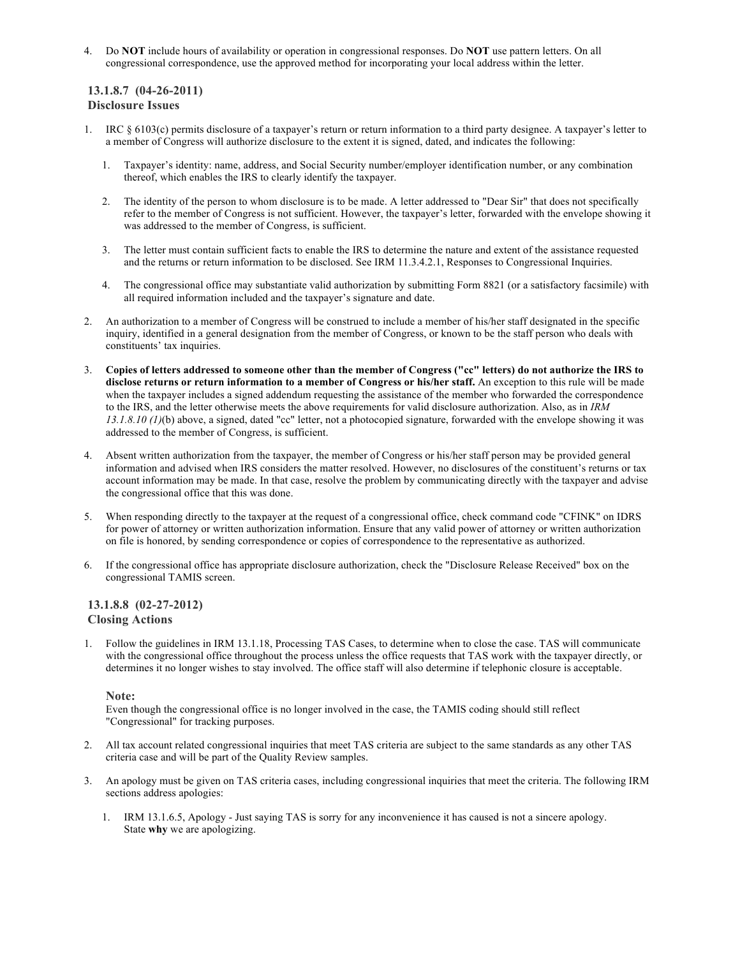4. Do **NOT** include hours of availability or operation in congressional responses. Do **NOT** use pattern letters. On all congressional correspondence, use the approved method for incorporating your local address within the letter.

## **13.1.8.7 (04-26-2011) Disclosure Issues**

- 1. IRC § 6103(c) permits disclosure of a taxpayer's return or return information to a third party designee. A taxpayer's letter to a member of Congress will authorize disclosure to the extent it is signed, dated, and indicates the following:
	- 1. Taxpayer's identity: name, address, and Social Security number/employer identification number, or any combination thereof, which enables the IRS to clearly identify the taxpayer.
	- 2. The identity of the person to whom disclosure is to be made. A letter addressed to "Dear Sir" that does not specifically refer to the member of Congress is not sufficient. However, the taxpayer's letter, forwarded with the envelope showing it was addressed to the member of Congress, is sufficient.
	- 3. The letter must contain sufficient facts to enable the IRS to determine the nature and extent of the assistance requested and the returns or return information to be disclosed. See IRM 11.3.4.2.1, Responses to Congressional Inquiries.
	- 4. The congressional office may substantiate valid authorization by submitting Form 8821 (or a satisfactory facsimile) with all required information included and the taxpayer's signature and date.
- 2. An authorization to a member of Congress will be construed to include a member of his/her staff designated in the specific inquiry, identified in a general designation from the member of Congress, or known to be the staff person who deals with constituents' tax inquiries.
- Copies of letters addressed to someone other than the member of Congress ("cc" letters) do not authorize the IRS to **disclose returns or return information to a member of Congress or his/her staff.** An exception to this rule will be made when the taxpayer includes a signed addendum requesting the assistance of the member who forwarded the correspondence to the IRS, and the letter otherwise meets the above requirements for valid disclosure authorization. Also, as in *IRM 13.1.8.10 (1)*(b) above, a signed, dated "cc" letter, not a photocopied signature, forwarded with the envelope showing it was addressed to the member of Congress, is sufficient.
- 4. Absent written authorization from the taxpayer, the member of Congress or his/her staff person may be provided general information and advised when IRS considers the matter resolved. However, no disclosures of the constituent's returns or tax account information may be made. In that case, resolve the problem by communicating directly with the taxpayer and advise the congressional office that this was done.
- 5. When responding directly to the taxpayer at the request of a congressional office, check command code "CFINK" on IDRS for power of attorney or written authorization information. Ensure that any valid power of attorney or written authorization on file is honored, by sending correspondence or copies of correspondence to the representative as authorized.
- 6. If the congressional office has appropriate disclosure authorization, check the "Disclosure Release Received" box on the congressional TAMIS screen.

## **13.1.8.8 (02-27-2012) Closing Actions**

1. Follow the guidelines in IRM 13.1.18, Processing TAS Cases, to determine when to close the case. TAS will communicate with the congressional office throughout the process unless the office requests that TAS work with the taxpayer directly, or determines it no longer wishes to stay involved. The office staff will also determine if telephonic closure is acceptable.

## **Note:**

Even though the congressional office is no longer involved in the case, the TAMIS coding should still reflect "Congressional" for tracking purposes.

- 2. All tax account related congressional inquiries that meet TAS criteria are subject to the same standards as any other TAS criteria case and will be part of the Quality Review samples.
- 3. An apology must be given on TAS criteria cases, including congressional inquiries that meet the criteria. The following IRM sections address apologies:
	- 1. IRM 13.1.6.5, Apology Just saying TAS is sorry for any inconvenience it has caused is not a sincere apology. State **why** we are apologizing.